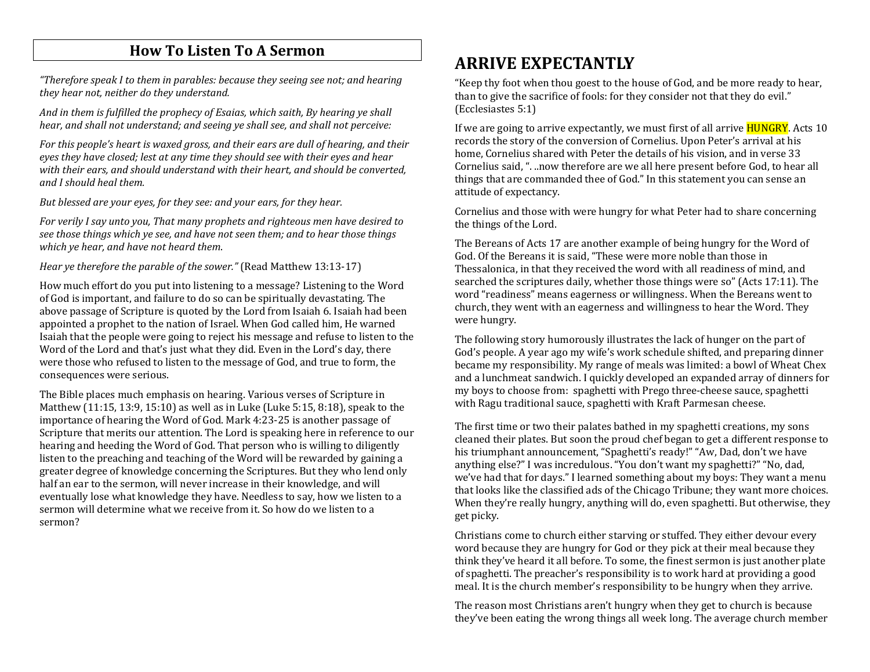#### **How To Listen To A Sermon**

*"Therefore speak I to them in parables: because they seeing see not; and hearing they hear not, neither do they understand.* 

*And in them is fulfilled the prophecy of Esaias, which saith, By hearing ye shall hear, and shall not understand; and seeing ye shall see, and shall not perceive:* 

*For this people's heart is waxed gross, and their ears are dull of hearing, and their eyes they have closed; lest at any time they should see with their eyes and hear with their ears, and should understand with their heart, and should be converted, and I should heal them.* 

*But blessed are your eyes, for they see: and your ears, for they hear.* 

*For verily I say unto you, That many prophets and righteous men have desired to see those things which ye see, and have not seen them; and to hear those things which ye hear, and have not heard them*.

*Hear ye therefore the parable of the sower."* (Read Matthew 13:13-17)

How much effort do you put into listening to a message? Listening to the Word of God is important, and failure to do so can be spiritually devastating. The above passage of Scripture is quoted by the Lord from Isaiah 6. Isaiah had been appointed a prophet to the nation of Israel. When God called him, He warned Isaiah that the people were going to reject his message and refuse to listen to the Word of the Lord and that's just what they did. Even in the Lord's day, there were those who refused to listen to the message of God, and true to form, the consequences were serious.

The Bible places much emphasis on hearing. Various verses of Scripture in Matthew (11:15, 13:9, 15:10) as well as in Luke (Luke 5:15, 8:18), speak to the importance of hearing the Word of God. Mark 4:23-25 is another passage of Scripture that merits our attention. The Lord is speaking here in reference to our hearing and heeding the Word of God. That person who is willing to diligently listen to the preaching and teaching of the Word will be rewarded by gaining a greater degree of knowledge concerning the Scriptures. But they who lend only half an ear to the sermon, will never increase in their knowledge, and will eventually lose what knowledge they have. Needless to say, how we listen to a sermon will determine what we receive from it. So how do we listen to a sermon?

# **ARRIVE EXPECTANTLY**

"Keep thy foot when thou goest to the house of God, and be more ready to hear, than to give the sacrifice of fools: for they consider not that they do evil." (Ecclesiastes 5:1)

If we are going to arrive expectantly, we must first of all arrive **HUNGRY**. Acts 10 records the story of the conversion of Cornelius. Upon Peter's arrival at his home, Cornelius shared with Peter the details of his vision, and in verse 33 Cornelius said, ". ..now therefore are we all here present before God, to hear all things that are commanded thee of God." In this statement you can sense an attitude of expectancy.

Cornelius and those with were hungry for what Peter had to share concerning the things of the Lord.

The Bereans of Acts 17 are another example of being hungry for the Word of God. Of the Bereans it is said, "These were more noble than those in Thessalonica, in that they received the word with all readiness of mind, and searched the scriptures daily, whether those things were so" (Acts 17:11). The word "readiness" means eagerness or willingness. When the Bereans went to church, they went with an eagerness and willingness to hear the Word. They were hungry.

The following story humorously illustrates the lack of hunger on the part of God's people. A year ago my wife's work schedule shifted, and preparing dinner became my responsibility. My range of meals was limited: a bowl of Wheat Chex and a lunchmeat sandwich. I quickly developed an expanded array of dinners for my boys to choose from: spaghetti with Prego three-cheese sauce, spaghetti with Ragu traditional sauce, spaghetti with Kraft Parmesan cheese.

The first time or two their palates bathed in my spaghetti creations, my sons cleaned their plates. But soon the proud chef began to get a different response to his triumphant announcement, "Spaghetti's ready!" "Aw, Dad, don't we have anything else?" I was incredulous. "You don't want my spaghetti?" "No, dad, we've had that for days." I learned something about my boys: They want a menu that looks like the classified ads of the Chicago Tribune; they want more choices. When they're really hungry, anything will do, even spaghetti. But otherwise, they get picky.

Christians come to church either starving or stuffed. They either devour every word because they are hungry for God or they pick at their meal because they think they've heard it all before. To some, the finest sermon is just another plate of spaghetti. The preacher's responsibility is to work hard at providing a good meal. It is the church member's responsibility to be hungry when they arrive.

The reason most Christians aren't hungry when they get to church is because they've been eating the wrong things all week long. The average church member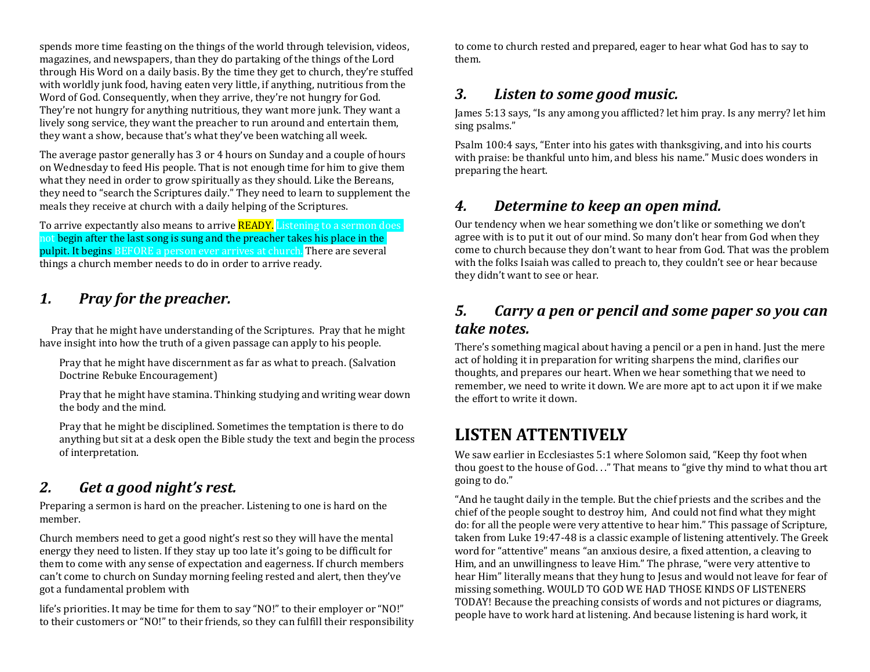spends more time feasting on the things of the world through television, videos, magazines, and newspapers, than they do partaking of the things of the Lord through His Word on a daily basis. By the time they get to church, they're stuffed with worldly junk food, having eaten very little, if anything, nutritious from the Word of God. Consequently, when they arrive, they're not hungry for God. They're not hungry for anything nutritious, they want more junk. They want a lively song service, they want the preacher to run around and entertain them, they want a show, because that's what they've been watching all week.

The average pastor generally has 3 or 4 hours on Sunday and a couple of hours on Wednesday to feed His people. That is not enough time for him to give them what they need in order to grow spiritually as they should. Like the Bereans, they need to "search the Scriptures daily." They need to learn to supplement the meals they receive at church with a daily helping of the Scriptures.

To arrive expectantly also means to arrive **READY**. Listening to a sermon does not begin after the last song is sung and the preacher takes his place in the pulpit. It begins BEFORE a person ever arrives at church. There are several things a church member needs to do in order to arrive ready.

### *1. Pray for the preacher.*

Pray that he might have understanding of the Scriptures. Pray that he might have insight into how the truth of a given passage can apply to his people.

Pray that he might have discernment as far as what to preach. (Salvation Doctrine Rebuke Encouragement)

Pray that he might have stamina. Thinking studying and writing wear down the body and the mind.

Pray that he might be disciplined. Sometimes the temptation is there to do anything but sit at a desk open the Bible study the text and begin the process of interpretation.

#### *2. Get a good night's rest.*

Preparing a sermon is hard on the preacher. Listening to one is hard on the member.

Church members need to get a good night's rest so they will have the mental energy they need to listen. If they stay up too late it's going to be difficult for them to come with any sense of expectation and eagerness. If church members can't come to church on Sunday morning feeling rested and alert, then they've got a fundamental problem with

life's priorities. It may be time for them to say "NO!" to their employer or "NO!" to their customers or "NO!" to their friends, so they can fulfill their responsibility to come to church rested and prepared, eager to hear what God has to say to them.

#### *3. Listen to some good music.*

James 5:13 says, "Is any among you afflicted? let him pray. Is any merry? let him sing psalms."

Psalm 100:4 says, "Enter into his gates with thanksgiving, and into his courts with praise: be thankful unto him, and bless his name." Music does wonders in preparing the heart.

#### *4. Determine to keep an open mind.*

Our tendency when we hear something we don't like or something we don't agree with is to put it out of our mind. So many don't hear from God when they come to church because they don't want to hear from God. That was the problem with the folks Isaiah was called to preach to, they couldn't see or hear because they didn't want to see or hear.

### *5. Carry a pen or pencil and some paper so you can take notes.*

There's something magical about having a pencil or a pen in hand. Just the mere act of holding it in preparation for writing sharpens the mind, clarifies our thoughts, and prepares our heart. When we hear something that we need to remember, we need to write it down. We are more apt to act upon it if we make the effort to write it down.

# **LISTEN ATTENTIVELY**

We saw earlier in Ecclesiastes 5:1 where Solomon said, "Keep thy foot when thou goest to the house of God. . ." That means to "give thy mind to what thou art going to do."

"And he taught daily in the temple. But the chief priests and the scribes and the chief of the people sought to destroy him, And could not find what they might do: for all the people were very attentive to hear him." This passage of Scripture, taken from Luke 19:47-48 is a classic example of listening attentively. The Greek word for "attentive" means "an anxious desire, a fixed attention, a cleaving to Him, and an unwillingness to leave Him." The phrase, "were very attentive to hear Him" literally means that they hung to Jesus and would not leave for fear of missing something. WOULD TO GOD WE HAD THOSE KINDS OF LISTENERS TODAY! Because the preaching consists of words and not pictures or diagrams, people have to work hard at listening. And because listening is hard work, it